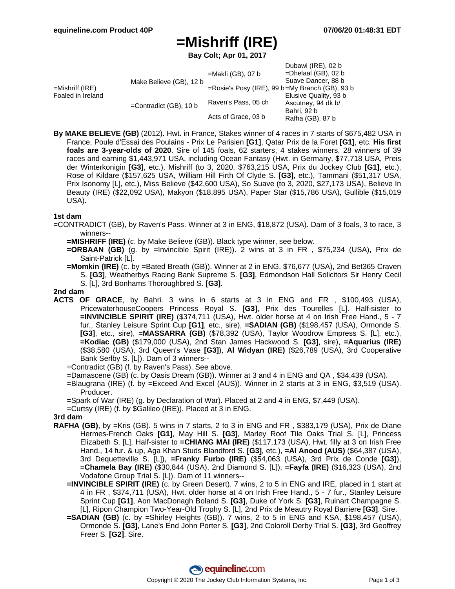# **=Mishriff (IRE)**

**Bay Colt; Apr 01, 2017**

| Raven's Pass, 05 ch<br>Acts of Grace, 03 b | Suave Dancer, 88 b<br>$=$ Rosie's Posy (IRE), 99 b $=$ My Branch (GB), 93 b<br>Elusive Quality, 93 b<br>Ascutney, 94 dk b/<br>Bahri, 92 b<br>Rafha (GB), 87 b |
|--------------------------------------------|---------------------------------------------------------------------------------------------------------------------------------------------------------------|
|                                            |                                                                                                                                                               |

**By MAKE BELIEVE (GB)** (2012). Hwt. in France, Stakes winner of 4 races in 7 starts of \$675,482 USA in France, Poule d'Essai des Poulains - Prix Le Parisien **[G1]**, Qatar Prix de la Foret **[G1]**, etc. **His first foals are 3-year-olds of 2020**. Sire of 145 foals, 62 starters, 4 stakes winners, 28 winners of 39 races and earning \$1,443,971 USA, including Ocean Fantasy (Hwt. in Germany, \$77,718 USA, Preis der Winterkonigin **[G3]**, etc.), Mishriff (to 3, 2020, \$763,215 USA, Prix du Jockey Club **[G1]**, etc.), Rose of Kildare (\$157,625 USA, William Hill Firth Of Clyde S. **[G3]**, etc.), Tammani (\$51,317 USA, Prix Isonomy [L], etc.), Miss Believe (\$42,600 USA), So Suave (to 3, 2020, \$27,173 USA), Believe In Beauty (IRE) (\$22,092 USA), Makyon (\$18,895 USA), Paper Star (\$15,786 USA), Gullible (\$15,019 USA).

### **1st dam**

- =CONTRADICT (GB), by Raven's Pass. Winner at 3 in ENG, \$18,872 (USA). Dam of 3 foals, 3 to race, 3 winners--
	- **=MISHRIFF (IRE)** (c. by Make Believe (GB)). Black type winner, see below.
	- **=ORBAAN (GB)** (g. by =Invincible Spirit (IRE)). 2 wins at 3 in FR , \$75,234 (USA), Prix de Saint-Patrick [L].
	- **=Momkin (IRE)** (c. by =Bated Breath (GB)). Winner at 2 in ENG, \$76,677 (USA), 2nd Bet365 Craven S. **[G3]**, Weatherbys Racing Bank Supreme S. **[G3]**, Edmondson Hall Solicitors Sir Henry Cecil S. [L], 3rd Bonhams Thoroughbred S. **[G3]**.

#### **2nd dam**

- **ACTS OF GRACE**, by Bahri. 3 wins in 6 starts at 3 in ENG and FR , \$100,493 (USA), PricewaterhouseCoopers Princess Royal S. **[G3]**, Prix des Tourelles [L]. Half-sister to **=INVINCIBLE SPIRIT (IRE)** (\$374,711 (USA), Hwt. older horse at 4 on Irish Free Hand., 5 - 7 fur., Stanley Leisure Sprint Cup **[G1]**, etc., sire), **=SADIAN (GB)** (\$198,457 (USA), Ormonde S. **[G3]**, etc., sire), **=MASSARRA (GB)** (\$78,392 (USA), Taylor Woodrow Empress S. [L], etc.), **=Kodiac (GB)** (\$179,000 (USA), 2nd Stan James Hackwood S. **[G3]**, sire), **=Aquarius (IRE)** (\$38,580 (USA), 3rd Queen's Vase **[G3]**), **Al Widyan (IRE)** (\$26,789 (USA), 3rd Cooperative Bank Serlby S. [L]). Dam of 3 winners--
	- =Contradict (GB) (f. by Raven's Pass). See above.
	- =Damascene (GB) (c. by Oasis Dream (GB)). Winner at 3 and 4 in ENG and QA , \$34,439 (USA).
	- =Blaugrana (IRE) (f. by =Exceed And Excel (AUS)). Winner in 2 starts at 3 in ENG, \$3,519 (USA). Producer.
	- =Spark of War (IRE) (g. by Declaration of War). Placed at 2 and 4 in ENG, \$7,449 (USA).
	- =Curtsy (IRE) (f. by \$Galileo (IRE)). Placed at 3 in ENG.

#### **3rd dam**

- **RAFHA (GB)**, by =Kris (GB). 5 wins in 7 starts, 2 to 3 in ENG and FR , \$383,179 (USA), Prix de Diane Hermes-French Oaks **[G1]**, May Hill S. **[G3]**, Marley Roof Tile Oaks Trial S. [L], Princess Elizabeth S. [L]. Half-sister to **=CHIANG MAI (IRE)** (\$117,173 (USA), Hwt. filly at 3 on Irish Free Hand., 14 fur. & up, Aga Khan Studs Blandford S. **[G3]**, etc.), **=Al Anood (AUS)** (\$64,387 (USA), 3rd Dequetteville S. [L]), **=Franky Furbo (IRE)** (\$54,063 (USA), 3rd Prix de Conde **[G3]**), **=Chamela Bay (IRE)** (\$30,844 (USA), 2nd Diamond S. [L]), **=Fayfa (IRE)** (\$16,323 (USA), 2nd Vodafone Group Trial S. [L]). Dam of 11 winners--
	- **=INVINCIBLE SPIRIT (IRE)** (c. by Green Desert). 7 wins, 2 to 5 in ENG and IRE, placed in 1 start at 4 in FR , \$374,711 (USA), Hwt. older horse at 4 on Irish Free Hand., 5 - 7 fur., Stanley Leisure Sprint Cup **[G1]**, Aon MacDonagh Boland S. **[G3]**, Duke of York S. **[G3]**, Ruinart Champagne S. [L], Ripon Champion Two-Year-Old Trophy S. [L], 2nd Prix de Meautry Royal Barriere **[G3]**. Sire.
	- **=SADIAN (GB)** (c. by =Shirley Heights (GB)). 7 wins, 2 to 5 in ENG and KSA, \$198,457 (USA), Ormonde S. **[G3]**, Lane's End John Porter S. **[G3]**, 2nd Coloroll Derby Trial S. **[G3]**, 3rd Geoffrey Freer S. **[G2]**. Sire.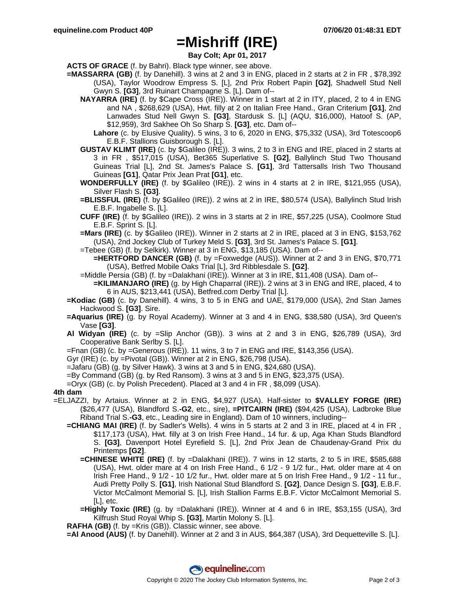## **=Mishriff (IRE)**

**Bay Colt; Apr 01, 2017**

**ACTS OF GRACE** (f. by Bahri). Black type winner, see above.

- **=MASSARRA (GB)** (f. by Danehill). 3 wins at 2 and 3 in ENG, placed in 2 starts at 2 in FR , \$78,392 (USA), Taylor Woodrow Empress S. [L], 2nd Prix Robert Papin **[G2]**, Shadwell Stud Nell Gwyn S. **[G3]**, 3rd Ruinart Champagne S. [L]. Dam of--
	- **NAYARRA (IRE)** (f. by \$Cape Cross (IRE)). Winner in 1 start at 2 in ITY, placed, 2 to 4 in ENG and NA , \$268,629 (USA), Hwt. filly at 2 on Italian Free Hand., Gran Criterium **[G1]**, 2nd Lanwades Stud Nell Gwyn S. **[G3]**, Stardusk S. [L] (AQU, \$16,000), Hatoof S. (AP, \$12,959), 3rd Sakhee Oh So Sharp S. **[G3]**, etc. Dam of--
		- **Lahore** (c. by Elusive Quality). 5 wins, 3 to 6, 2020 in ENG, \$75,332 (USA), 3rd Totescoop6 E.B.F. Stallions Guisborough S. [L].
	- **GUSTAV KLIMT (IRE)** (c. by \$Galileo (IRE)). 3 wins, 2 to 3 in ENG and IRE, placed in 2 starts at 3 in FR , \$517,015 (USA), Bet365 Superlative S. **[G2]**, Ballylinch Stud Two Thousand Guineas Trial [L], 2nd St. James's Palace S. **[G1]**, 3rd Tattersalls Irish Two Thousand Guineas **[G1]**, Qatar Prix Jean Prat **[G1]**, etc.
	- **WONDERFULLY (IRE)** (f. by \$Galileo (IRE)). 2 wins in 4 starts at 2 in IRE, \$121,955 (USA), Silver Flash S. **[G3]**.
	- **=BLISSFUL (IRE)** (f. by \$Galileo (IRE)). 2 wins at 2 in IRE, \$80,574 (USA), Ballylinch Stud Irish E.B.F. Ingabelle S. [L].
	- **CUFF (IRE)** (f. by \$Galileo (IRE)). 2 wins in 3 starts at 2 in IRE, \$57,225 (USA), Coolmore Stud E.B.F. Sprint S. [L].
	- **=Mars (IRE)** (c. by \$Galileo (IRE)). Winner in 2 starts at 2 in IRE, placed at 3 in ENG, \$153,762 (USA), 2nd Jockey Club of Turkey Meld S. **[G3]**, 3rd St. James's Palace S. **[G1]**.
	- =Tebee (GB) (f. by Selkirk). Winner at 3 in ENG, \$13,185 (USA). Dam of--

**=HERTFORD DANCER (GB)** (f. by =Foxwedge (AUS)). Winner at 2 and 3 in ENG, \$70,771 (USA), Betfred Mobile Oaks Trial [L], 3rd Ribblesdale S. **[G2]**.

- =Middle Persia (GB) (f. by =Dalakhani (IRE)). Winner at 3 in IRE, \$11,408 (USA). Dam of--
	- **=KILIMANJARO (IRE)** (g. by High Chaparral (IRE)). 2 wins at 3 in ENG and IRE, placed, 4 to 6 in AUS, \$213,441 (USA), Betfred.com Derby Trial [L].
- **=Kodiac (GB)** (c. by Danehill). 4 wins, 3 to 5 in ENG and UAE, \$179,000 (USA), 2nd Stan James Hackwood S. **[G3]**. Sire.
- **=Aquarius (IRE)** (g. by Royal Academy). Winner at 3 and 4 in ENG, \$38,580 (USA), 3rd Queen's Vase **[G3]**.
- **Al Widyan (IRE)** (c. by =Slip Anchor (GB)). 3 wins at 2 and 3 in ENG, \$26,789 (USA), 3rd Cooperative Bank Serlby S. [L].
- =Fnan (GB) (c. by =Generous (IRE)). 11 wins, 3 to 7 in ENG and IRE, \$143,356 (USA).
- Gyr (IRE) (c. by =Pivotal (GB)). Winner at 2 in ENG, \$26,798 (USA).
- =Jafaru (GB) (g. by Silver Hawk). 3 wins at 3 and 5 in ENG, \$24,680 (USA).
- =By Command (GB) (g. by Red Ransom). 3 wins at 3 and 5 in ENG, \$23,375 (USA).
- =Oryx (GB) (c. by Polish Precedent). Placed at 3 and 4 in FR , \$8,099 (USA).

### **4th dam**

- =ELJAZZI, by Artaius. Winner at 2 in ENG, \$4,927 (USA). Half-sister to **\$VALLEY FORGE (IRE)** (\$26,477 (USA), Blandford S.**-G2**, etc., sire), **=PITCAIRN (IRE)** (\$94,425 (USA), Ladbroke Blue Riband Trial S.**-G3**, etc., Leading sire in England). Dam of 10 winners, including--
	- **=CHIANG MAI (IRE)** (f. by Sadler's Wells). 4 wins in 5 starts at 2 and 3 in IRE, placed at 4 in FR, \$117,173 (USA), Hwt. filly at 3 on Irish Free Hand., 14 fur. & up, Aga Khan Studs Blandford S. **[G3]**, Davenport Hotel Eyrefield S. [L], 2nd Prix Jean de Chaudenay-Grand Prix du Printemps **[G2]**.
		- **=CHINESE WHITE (IRE)** (f. by =Dalakhani (IRE)). 7 wins in 12 starts, 2 to 5 in IRE, \$585,688 (USA), Hwt. older mare at 4 on Irish Free Hand., 6 1/2 - 9 1/2 fur., Hwt. older mare at 4 on Irish Free Hand., 9 1/2 - 10 1/2 fur., Hwt. older mare at 5 on Irish Free Hand., 9 1/2 - 11 fur., Audi Pretty Polly S. **[G1]**, Irish National Stud Blandford S. **[G2]**, Dance Design S. **[G3]**, E.B.F. Victor McCalmont Memorial S. [L], Irish Stallion Farms E.B.F. Victor McCalmont Memorial S. [L], etc.
		- **=Highly Toxic (IRE)** (g. by =Dalakhani (IRE)). Winner at 4 and 6 in IRE, \$53,155 (USA), 3rd Kilfrush Stud Royal Whip S. **[G3]**, Martin Molony S. [L].
	- **RAFHA (GB)** (f. by =Kris (GB)). Classic winner, see above.

**=Al Anood (AUS)** (f. by Danehill). Winner at 2 and 3 in AUS, \$64,387 (USA), 3rd Dequetteville S. [L].